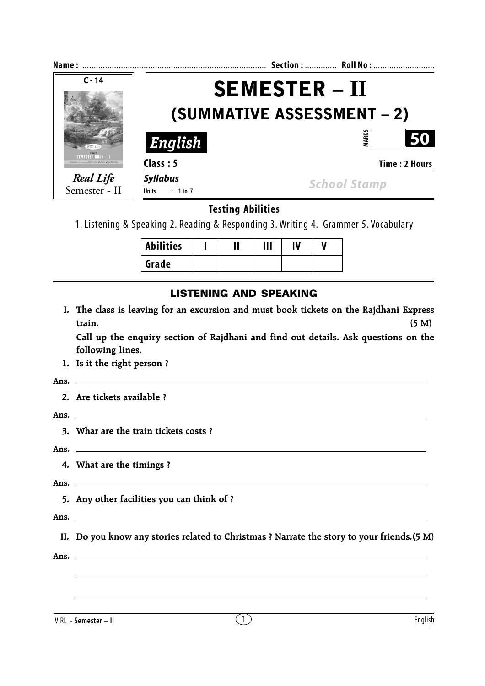| Name:                                                                     |                                      | Section:  Roll No:                |
|---------------------------------------------------------------------------|--------------------------------------|-----------------------------------|
| $C - 14$                                                                  |                                      | <b>SEMESTER - II</b>              |
|                                                                           |                                      | <b>(SUMMATIVE ASSESSMENT – 2)</b> |
|                                                                           | English                              | ARK:<br>50                        |
| SEMESTER ROOK - II<br>sen Gunnuo - Mathematics - Science - Social Studies | Class: 5                             | Time: 2 Hours                     |
| <b>Real Life</b><br>Semester - II                                         | <b>Syllabus</b><br>: 1 to 7<br>Units | <b>School Stamp</b>               |

## **Testing Abilities**

1. Listening & Speaking 2. Reading & Responding 3. Writing 4. Grammer 5. Vocabulary

| Abilities |  | $\mathbf{III}$ |  |  |
|-----------|--|----------------|--|--|
| Grade     |  |                |  |  |

## **LISTENING AND SPEAKING**

**I. The class is leaving for an excursion and must book tickets on the Rajdhani Express train. (5 M)**

**Call up the enquiry section of Rajdhani and find out details. Ask questions on the following lines.**

**1. Is it the right person ?**

#### **Ans.**

**2. Are tickets available ?**

**Ans.**

**3. Whar are the train tickets costs ?**

**Ans.**

**4. What are the timings ?**

**Ans.**

**5. Any other facilities you can think of ?**

**Ans.**

**II. Do you know any stories related to Christmas ? Narrate the story to your friends.(5 M)**

**Ans.**

V RL - **Semester – II**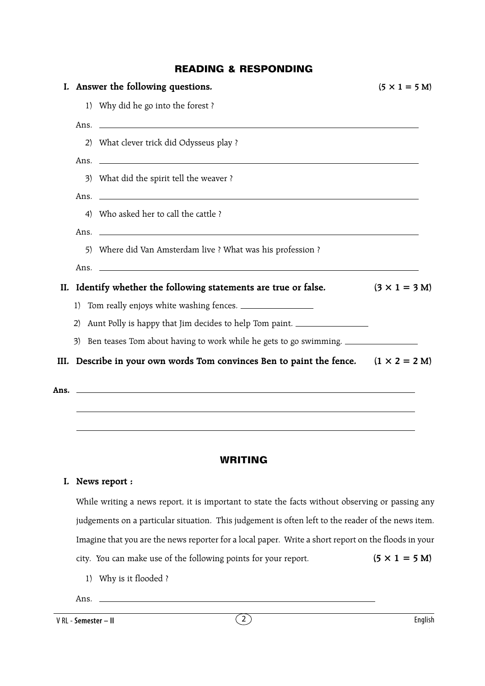## **READING & RESPONDING**

|    | I. Answer the following questions.                                                         | $(5 \times 1 = 5$ M) |
|----|--------------------------------------------------------------------------------------------|----------------------|
|    | 1) Why did he go into the forest?                                                          |                      |
|    |                                                                                            |                      |
|    | 2) What clever trick did Odysseus play ?                                                   |                      |
|    | Ans.                                                                                       |                      |
|    | 3) What did the spirit tell the weaver?                                                    |                      |
|    |                                                                                            |                      |
|    | 4) Who asked her to call the cattle?                                                       |                      |
|    | Ans.                                                                                       |                      |
|    | 5) Where did Van Amsterdam live ? What was his profession ?                                |                      |
|    | Ans. $\Box$                                                                                |                      |
|    | II. Identify whether the following statements are true or false.                           | $(3 \times 1 = 3 M)$ |
| 1) | Tom really enjoys white washing fences.                                                    |                      |
| 2) | Aunt Polly is happy that Jim decides to help Tom paint.                                    |                      |
|    | 3) Ben teases Tom about having to work while he gets to go swimming.                       |                      |
|    | III. Describe in your own words Tom convinces Ben to paint the fence. $(1 \times 2 = 2 M)$ |                      |
|    |                                                                                            |                      |
|    | Ans. $\Box$                                                                                |                      |

# **WRITING**

#### **I. News report :**

While writing a news report, it is important to state the facts without observing or passing any judgements on a particular situation. This judgement is often left to the reader of the news item. Imagine that you are the news reporter for a local paper. Write a short report on the floods in your city. You can make use of the following points for your report. **(5**  $\times$  **1 = 5 M)** 

1) Why is it flooded ?

### Ans.  $\_\_\_\$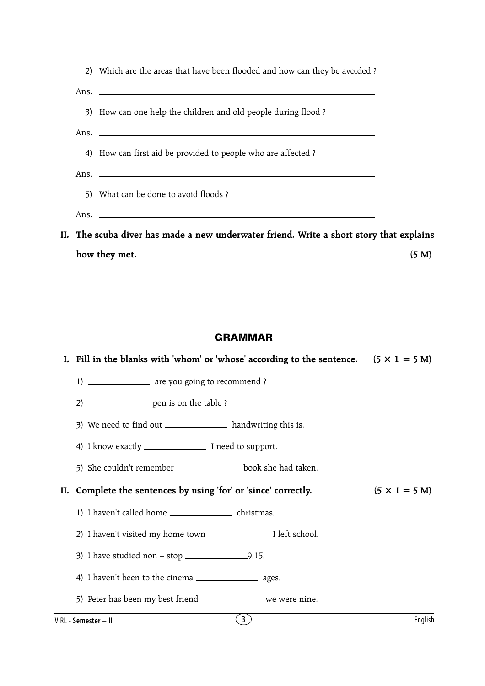|     |                      | 2) Which are the areas that have been flooded and how can they be avoided?                           |                      |  |  |  |  |  |  |  |  |
|-----|----------------------|------------------------------------------------------------------------------------------------------|----------------------|--|--|--|--|--|--|--|--|
|     |                      |                                                                                                      |                      |  |  |  |  |  |  |  |  |
|     |                      | 3) How can one help the children and old people during flood ?                                       |                      |  |  |  |  |  |  |  |  |
|     |                      |                                                                                                      |                      |  |  |  |  |  |  |  |  |
|     |                      | 4) How can first aid be provided to people who are affected?                                         |                      |  |  |  |  |  |  |  |  |
|     |                      | Ans. $\Box$                                                                                          |                      |  |  |  |  |  |  |  |  |
|     |                      | 5) What can be done to avoid floods?                                                                 |                      |  |  |  |  |  |  |  |  |
|     |                      | Ans. $\overline{\phantom{a}}$                                                                        |                      |  |  |  |  |  |  |  |  |
|     |                      | II. The scuba diver has made a new underwater friend. Write a short story that explains              |                      |  |  |  |  |  |  |  |  |
|     |                      | how they met.                                                                                        | (5 M)                |  |  |  |  |  |  |  |  |
|     |                      |                                                                                                      |                      |  |  |  |  |  |  |  |  |
|     |                      |                                                                                                      |                      |  |  |  |  |  |  |  |  |
|     | <b>GRAMMAR</b>       |                                                                                                      |                      |  |  |  |  |  |  |  |  |
|     |                      | I. Fill in the blanks with 'whom' or 'whose' according to the sentence. $(5 \times 1 = 5 \text{ M})$ |                      |  |  |  |  |  |  |  |  |
|     |                      | 1) _______________ are you going to recommend ?                                                      |                      |  |  |  |  |  |  |  |  |
|     |                      | 2) _________________ pen is on the table ?                                                           |                      |  |  |  |  |  |  |  |  |
|     |                      | 3) We need to find out ________________ handwriting this is.                                         |                      |  |  |  |  |  |  |  |  |
|     |                      | 4) I know exactly _____________________ I need to support.                                           |                      |  |  |  |  |  |  |  |  |
|     |                      | 5) She couldn't remember _________________ book she had taken.                                       |                      |  |  |  |  |  |  |  |  |
| II. |                      | Complete the sentences by using 'for' or 'since' correctly.                                          | $(5 \times 1 = 5 M)$ |  |  |  |  |  |  |  |  |
|     |                      | 1) I haven't called home ______________________ christmas.                                           |                      |  |  |  |  |  |  |  |  |
|     |                      |                                                                                                      |                      |  |  |  |  |  |  |  |  |
|     |                      | 3) I have studied non – stop $\_\_\_\_\_\_9$ .15.                                                    |                      |  |  |  |  |  |  |  |  |
|     |                      | 4) I haven't been to the cinema ________________________ ages.                                       |                      |  |  |  |  |  |  |  |  |
|     |                      | 5) Peter has been my best friend _________________ we were nine.                                     |                      |  |  |  |  |  |  |  |  |
|     | V RL - Semester - II | $\tilde{3}$                                                                                          | English              |  |  |  |  |  |  |  |  |